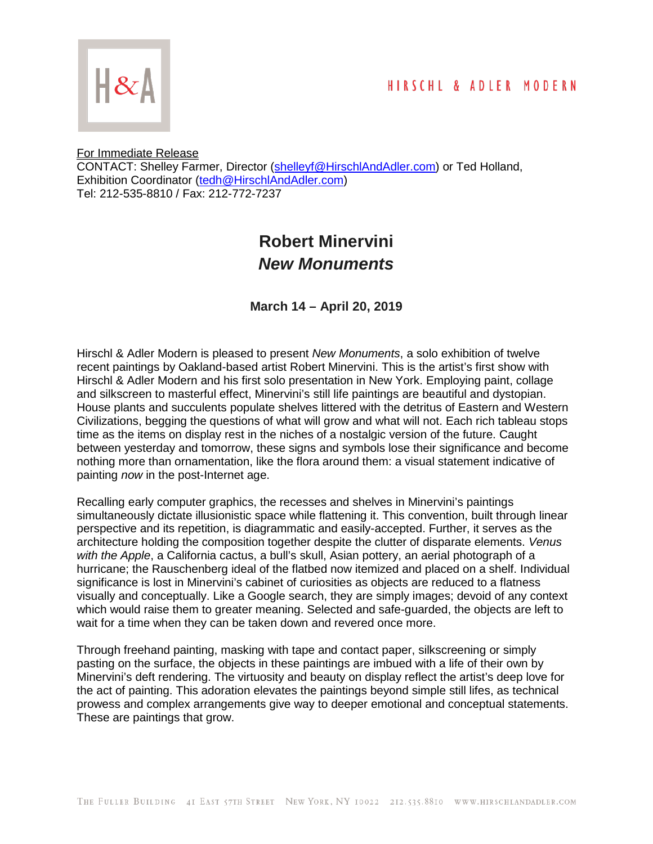

For Immediate Release

CONTACT: Shelley Farmer, Director [\(shelleyf@HirschlAndAdler.com\)](mailto:shelleyf@HirschlAndAdler.com) or Ted Holland, Exhibition Coordinator [\(tedh@HirschlAndAdler.com\)](mailto:tedh@HirschlAndAdler.com) Tel: 212-535-8810 / Fax: 212-772-7237

## **Robert Minervini** *New Monuments*

**March 14 – April 20, 2019**

Hirschl & Adler Modern is pleased to present *New Monuments*, a solo exhibition of twelve recent paintings by Oakland-based artist Robert Minervini. This is the artist's first show with Hirschl & Adler Modern and his first solo presentation in New York. Employing paint, collage and silkscreen to masterful effect, Minervini's still life paintings are beautiful and dystopian. House plants and succulents populate shelves littered with the detritus of Eastern and Western Civilizations, begging the questions of what will grow and what will not. Each rich tableau stops time as the items on display rest in the niches of a nostalgic version of the future. Caught between yesterday and tomorrow, these signs and symbols lose their significance and become nothing more than ornamentation, like the flora around them: a visual statement indicative of painting *now* in the post-Internet age.

Recalling early computer graphics, the recesses and shelves in Minervini's paintings simultaneously dictate illusionistic space while flattening it. This convention, built through linear perspective and its repetition, is diagrammatic and easily-accepted. Further, it serves as the architecture holding the composition together despite the clutter of disparate elements. *Venus with the Apple*, a California cactus, a bull's skull, Asian pottery, an aerial photograph of a hurricane; the Rauschenberg ideal of the flatbed now itemized and placed on a shelf. Individual significance is lost in Minervini's cabinet of curiosities as objects are reduced to a flatness visually and conceptually. Like a Google search, they are simply images; devoid of any context which would raise them to greater meaning. Selected and safe-guarded, the objects are left to wait for a time when they can be taken down and revered once more.

Through freehand painting, masking with tape and contact paper, silkscreening or simply pasting on the surface, the objects in these paintings are imbued with a life of their own by Minervini's deft rendering. The virtuosity and beauty on display reflect the artist's deep love for the act of painting. This adoration elevates the paintings beyond simple still lifes, as technical prowess and complex arrangements give way to deeper emotional and conceptual statements. These are paintings that grow.